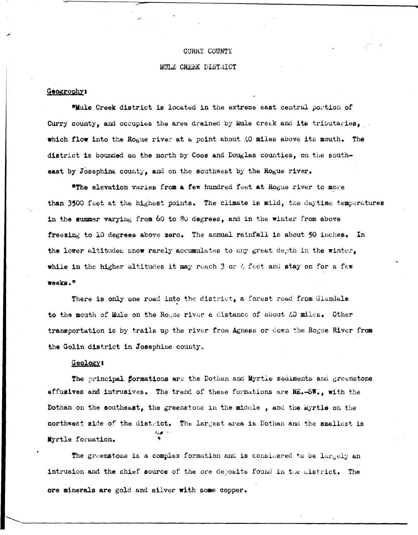### CURRY COUNTY

#### MULE CREEK DISTRICT

### Geogrophy:

"Mule Creek district is located in the extreme east central portion of Curry county, and occupies the area drained by kule creek and its tributaries, which flow into the Rogue river at a point about 40 miles above its mouth. The district is bounded on the north by Coos and Douglas counties, on the southeast by Josephine county, and on the southwest by the Rogue river.

"The elevation varies from a few hundred feet at Rogue river to more than 3500 feet at the highest points. The climate is mild, the daytime temperatures in the summer varying from 60 to 80 degrees, and in the winter from above freezing to 10 degrees above zero. The annual rainfall is about 50 inches. In the lower altitudes snow rarely accumulates to any great depth in the winter, while in the higher altitudes it may reach 3 or 4 feet and stay on for a few weeks."

There is only one road into the district, a forest road from Glandale to the mouth of Mule on the Rosue river a distance of about 40 miles. Other transportation is by trails up the river from Agness or down the Rogue River from the Golin district in Josephine county.

## **Geology:**

The principal formations are the Dothan and Myrtle sediments and greenstone effusives and intrusives. The trend of these formations are NE.-SW., with the Dothan on the southeast, the greenstone in the middle, and the Eyrtle on the northwest side of the district. The largest area is Dothan and the smallest is हित∤ा<br>वि Myrtle formation.

The greenstone is a complex formation and is considered to be largely an intrusion and the chief source of the ore deposits found in the district. The ore minerals are gold and silver with some copper.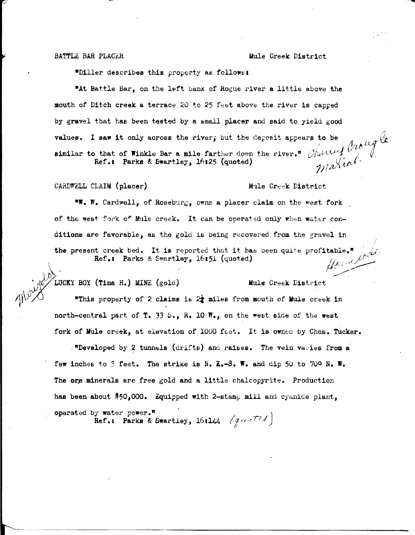*J* 

#### BATTLE BAR PLACER Mule Creek District

\*Diller describes this property as follows:

"At Battle Bar, on the left bank of Rogue river a little above the mouth of Ditch creek a terrace. 20 to 25 feet above the river is capped by gravel that has been tested by a small placer and said to yield good values. I saw it only across the river; but the deposit appears to be  $\int_{\mathcal{U}}\int_{\mathcal{U}}\mu f$ similar to that of Winkle Bar a mile farther down the river.<sup>11</sup> *Charles 1.*  $\int_{0}^{1}$ Ref.: Parks & Swartley, 16125 (quoted) v,  $\frac{1}{4}$ ,  $\frac{1}{4}$ ,  $\frac{1}{4}$ ,  $\frac{1}{4}$ ,  $\frac{1}{4}$ ,  $\frac{1}{4}$ ,  $\frac{1}{4}$ ,  $\frac{1}{4}$ ,  $\frac{1}{4}$ ,  $\frac{1}{4}$ ,  $\frac{1}{4}$ ,  $\frac{1}{4}$ ,  $\frac{1}{4}$ ,  $\frac{1}{4}$ ,  $\frac{1}{4}$ ,  $\frac{1}{4}$ ,  $\frac$ 

CARDWELL CLAIM **(placer)** 

 $\ddot{\phantom{1}}$  $\ket{\mathfrak{p}}$ 

#### Mule Creek District

**"W. W. Cardwell, of Roseburg, owns a placer claim on the west fork** of the west fork of Mule creek. It can be operated only when water conditions are favorable, as the gold is being recovered from the gravel in table." fode the present creek bed. It is reported that it has been qui+e profitable." Ref.: Parks & Swartley, 16:51 (quoted)

~:\~UCKY BOY **(Tina.** H.) MINE (gold) Mule Creek District

"This property of 2 claims is  $2\frac{1}{2}$  miles from mouth of Mule creek in north-central part of T. 33 S., R. 10  $W_{\bullet}$ , on the west side of the west fork of Mule creek, at elevation of 1000 feet. It is owned by Chas. Tucker.

. "Developed by 2 tunnels (drifts) and raises. The vein varies from a few inches to 3 feet. The strike is N. **E.-S. W.** and dip 50 to 700 N. W. The ore minerals are free gold and a little chalcopyrite. Production has been about  $$50,000$ . Equipped with 2-stamp mill and cyanide plant,

operated by water power.<sup>\*</sup> Ref.: Parks & Swartley, 16:144 (quality)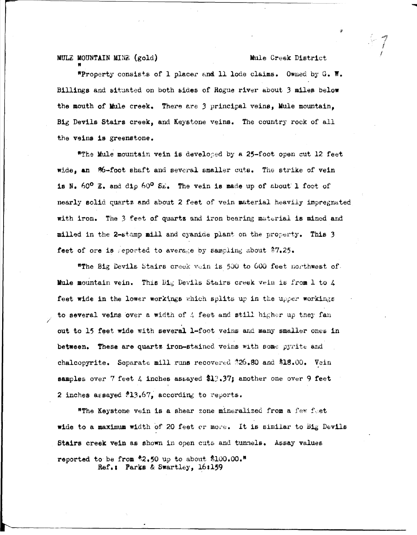## MULE MOUNTAIN MINE (gold)

### Mule Creek District

"Property consists of 1 placer and 11 lode claims. Owned by G. W. Billings and situated on both sides of Rogue river about 3 miles below the mouth of Mule creek. There are 3 principal veins, Mule mountain. Big Devils Stairs creek, and Keystone veins. The country rock of all the veins is greenstone.

\*The Mule mountain vein is developed by a 25-foot open cut 12 feet wide, an 86-foot shaft and several smaller cuts. The strike of vein is N. 60° E. and dip 60° SE. The vein is made up of about 1 foot of nearly solid quartz and about 2 feet of vein material heavily impregnated with iron. The 3 feet of quartz and iron bearing material is mined and milled in the 2-stamp mill and cyanide plant on the property. This 3 feet of ore is seported to average by sampling about \$7.25.

"The Big Devils Stairs creek vein is 500 to 600 feet northwest of. Mule mountain vein. This Big Devils Stairs creek vein is from 1 to 4 feet wide in the lower workings which splits up in the upper workings to several veins over a width of 4 feet and still higher up they fan out to 15 feet wide with several 1-foot veins and many smaller ones in between. These are quartz iron-stained veins with some pyrite and chalcopyrite. Separate mill runs recovered \$26.80 and \$18.00. Vein samples over 7 feet  $\lambda$  inches assayed \$13.37; another one over 9 feet 2 inches assayed  $13.67$ , according to reports.

"The Keystone vein is a shear zone mineralized from a few feet wide to a maximum width of 20 feet or more. It is similar to Big Devils Stairs creek vein as shown in open cuts and tunnels. Assay values reported to be from \$2.50 up to about \$100.00." Ref.: Parks & Swartley, 16:159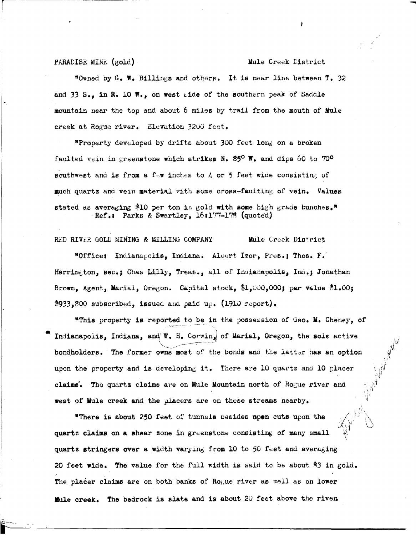#### PARADISE MINE (gold)

#### Mule Creek District

"Owned by G. W. Billings and others. It is near line between T. 32 and 33 S., in R. 10 W., on west side of the southern peak of Saddle mountain near the top and about 6 miles by trail from the mouth of Mule creek at Rogue river. Elevation 3200 feet.

\*Property developed by drifts about 300 feet long on a broken faulted vein in greenstone which strikes N. 85<sup>0</sup> W. and dips 60 to 70<sup>0</sup> southwest and is from a few inches to 4 or 5 feet wide consisting of much quartz and vein material with some cross-faulting of vein. Values stated as averaging \$10 per ton in gold with some high grade bunches." Ref.: Parks & Swartley, 16:177-178 (quoted)

RED RIVER GOLD MINING & MILLING COMPANY Mule Creek District "Office: Indianapolis, Indiana. Albert Izor, Pres.; Thos. F. Harrington, sec.; Chas Lilly, Treas., all of Indianapolis, Ind.; Jonathan Brown, Agent, Marial, Oregon. Capital stock, \$1,000,000; par value  $31.00$ ; \$933,800 subscribed, issued and paid up.  $(1910$  report).

"This property is reported to be in the possession of Geo. M. Cheney, of Indianapolis, Indiana, and W. H. Corwing of Marial, Oregon, the sole active bondholders. The former owns most of the bonds and the latter has an option upon the property and is developing it. There are 10 quartz and 10 placer claims. The quartz claims are on Mule Mountain north of Rogue river and west of Mule creek and the placers are on these streams nearby.

"There is about 250 feet of tunnels besides upon cuts upon the quartz claims on a shear zone in greenstone consisting of many small quartz stringers over a width varying from 10 to 50 feet and averaging 20 feet wide. The value for the full width is said to be about  $33$  in gold. The placer claims are on both banks of Rogue river as well as on lower Mule creek. The bedrock is slate and is about 20 feet above the riven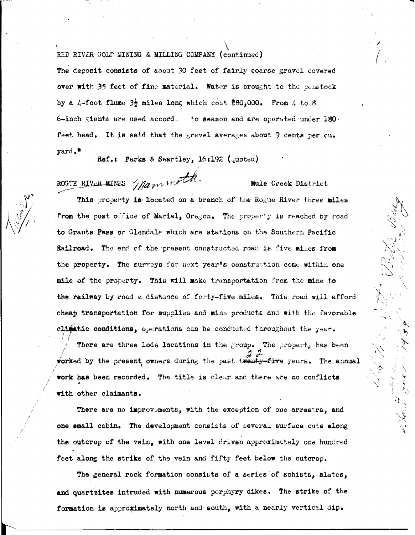RED RIVER GOLD MINING & MILLING COMPANY (continued)

The deposit consists of about 30 feet of fairly coarse gravel covered over with 35 feet of fine material. Water is brought to the penstock by a 4-foot flume  $3\frac{1}{2}$  miles long which cost \$80,000. From 4 to 8  $6$ -inch giants are used accord.  $\pm 0$  season and are operated under 180. feet head. It is said that the gravel averages about 9 cents per cu. yard."

Ref.: Parks & Swartley, 16:192 (quoted)

ROGUE RIVER MINES Mammoth

Mule Creek District



This property is located on a branch of the Rogue River three miles from the post office of Marial, Oregon. The property is reached by road to Grants Pass or Glendale which are stations on the Southern Pacific Railroad. The end of the present constructed road is five miles from the property. The surveys for next year's construction come within one mile of the property. This will make transportation from the mine to the railway by road a distance of forty-five miles. This road will afford cheap transportation for supplies and mine products and with the favorable climatic conditions, operations can be conducted throughout the year.

There are three lode locations in the group. The property has been worked by the present owners during the past twenty-five years. The annual work has been recorded. The title is clear and there are no conflicts with other claimants.

There are no improvements, with the exception of one arrastra, and one small cabin. The development consists of several surface cuts along the outcrop of the vein, with one level driven approximately one hundred feet along the strike of the vein and fifty feet below the outcrop.

The general rock formation consists of a series of schists, slates, and quartzites intruded with numerous porphyry dikes. The strike of the formation is approximately north and south, with a nearly vertical dip.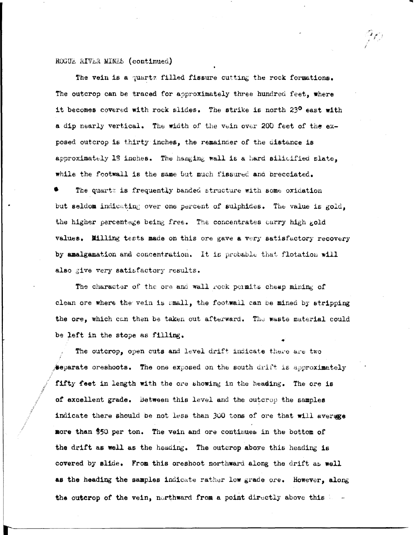## ROGUE RIVER MINES (continued)

The vein is a quartz filled fissure cutting the rock formations. The outcrop can be traced for approximately three hundred feet, where it becomes covered with rock slides. The strike is north 23<sup>0</sup> east with a dip nearly vertical. The width of the vein over 200 feet of the exposed outcrop is thirty inches, the remainder of the distance is approximately 13 inches. The hanging wall is a hard silicified slate. while the footwall is the same but much fissured and brecciated.

The quartz is frequently banded structure with some oxidation but seldom indicating over one percent of sulphides. The value is gold, the higher percentage being free. The concentrates carry high gold values. Milling tests made on this ore gave a very satisfactory recovery by analgamation and concentration. It is probable that flotation will also give very satisfactory results.

The character of the ore and wall rock permits cheap mining of clean ore where the vein is small, the footwall can be mined by stripping the ore, which can then be taken out afterward. The waste material could be left in the stope as filling.

The outcrop, open cuts and level drift indicate there are two separate oreshoots. The one exposed on the south drift is approximately fifty feet in length with the ore showing in the heading. The ore is of excellent grade. Between this level and the outcrop the samples indicate there should be not less than 300 tons of ore that will average more than \$50 per ton. The vein and ore continues in the bottom of the drift as well as the heading. The outcrop above this heading is covered by slide. From this oreshoot northward along the drift as well as the heading the samples indicate rather low grade ore. However, along the outcrop of the vein, northward from a point directly above this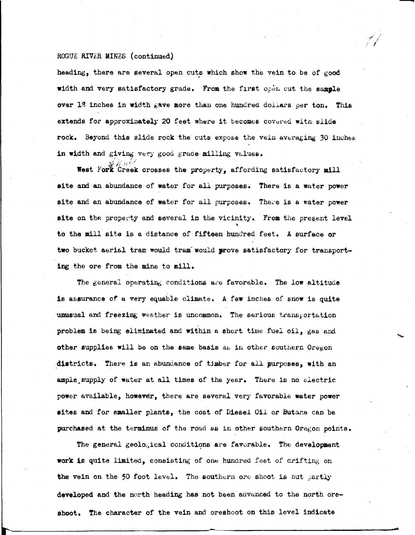#### ROGUZ RIVER MINZS (continued)

heading, there are several open cuts which show the vein to be of good width and very satisfactory grade. From the first open cut the sample over 13 inches in width gave more than one hundred dollars per ton. This extends for approximately 20 feet where it becomes covered witn slide rock. Beyond this slide rock the cuts expose the vein averaging 30 inches in width and giving very good grade milling values.

-

West Fork Creek crosses the property, affording satisfactory mill **site** and an abundance of water for all purposes. There is a water power site and an abundance of water for all purposes. There is a water power site on the property and several in the vicinity. From the present level to the mill site is a distance or fifteen hundred feet. A surface or two bucket aerial tram would tram would prove satisfactory for transporting the ore from the mine to mill.

The general operating conditions are favorable. The low altitude is assurance of a very equable climate. A few inches of snow is quite unusual and freezing weather is uncommon. The serious transportation problem is being eliminated and within a short time fuel oil, gas and other supplies will be on the same basis as in other southern Oregon districts. There is an abundance of timber for all purposes, with an ample supply of water at all times of the year. There is no electric power available, **however,** there are several very favorable water **power**  aites and for smaller plants, the cost of Diesel Oil or Butane can be purchased at the terminus of the road as in other southern Oregon points.

The general geological conditions are favorable. The development work is quite limited, consisting of one hundred feet of drifting on the vein on the 50 foot level. The southern ore shoot is but partly developed and the north heading has not been advanced to the north oreshoot. The character of the vein and oreshoot on this level indicate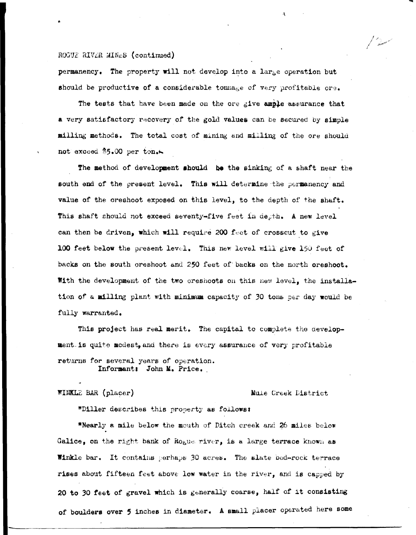#### ROGUE RIVER MINES (continued)

permanency. The property will not develop into a large operation but should be productive of a considerable tomage of very profitable ore.

The tests that have been made on the ore give ample assurance that a very satisfactory recovery of the gold values can be secured by simple milling methods. The total cost of mining and milling of the ore should not exceed \$5.00 per ton.

The method of development should be the sinking of a shaft near the south end of the cresent level. This will determine the permanency and value of the oreshoot exposed on this level, to the depth of the shaft. This shaft should not exceed seventy-five feet in desth. A new level can then be driven, which will require 200 feet of crosscut to give 100 feet below the present level. This new level will give 150 feet of backs on the south oreshoot and 250 feet of backs on the north oreshoot. With the development of the two oreshoots on this new level, the installation of a milling plant with minimum capacity of 30 tons per day would be fully warranted.

This project has real merit. The capital to complete the development is quite modest, and there is every assurance of very profitable returns for several years of operation. Informant: John M. Price.

WINKLE BAR (placer)

#### Mule Creek District

"Diller describes this property as follows:

"Nearly a mile below the mouth of Ditch creek and 26 miles below Galice, on the right bank of Rogue river, is a large terrace known as **Winkle bar.** It contains perhaps 30 acres. The slate bed-rock terrace rises about fifteen feet above low water in the river, and is capped by 20 to 30 feet of gravel which is generally coarse, half of it consisting of boulders over 5 inches in diameter. A small placer operated here some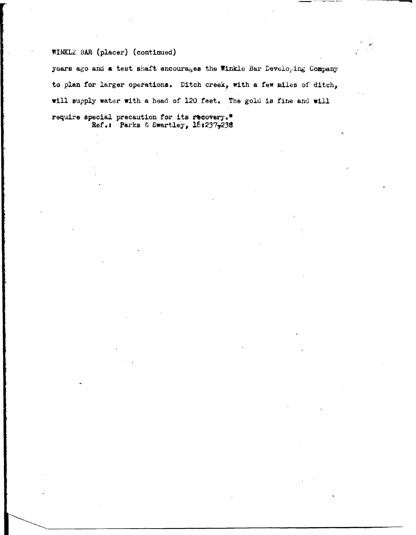# WINKLE BAR (placer) (continued)

years ago and a test shaft encourages the Winkle Bar Developing Company to plan for larger operations. Ditch creek, with a few miles of ditch, will supply water with a head of 120 feet. The gold is fine and will require special precaution for its recovery." Ref.: Parks & Swartley, 16:237,238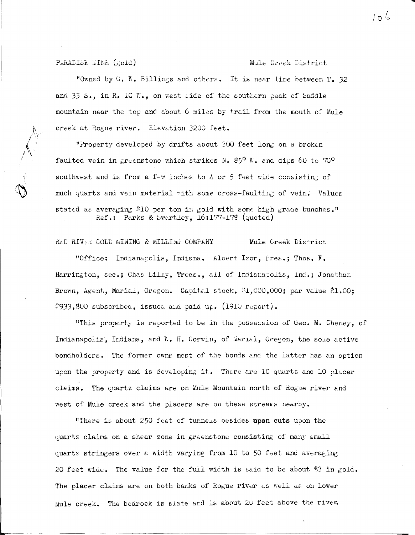PARADISE MINE (gold)

#### Mule Creek District

"Owned by G. W. Billings and others. It is near line between T. 32 and 33 S., in R. 10 W., on west tide of the southern peak of Saddle mountain near the top and about 6 miles by trail from the mouth of Mule creek at Rogue river. Elevation 3200 feet.

"Property developed by drifts about 300 feet long on a broken faulted vein in greenstone which strikes N. 85<sup>0</sup> W. and dips 60 to 70<sup>0</sup> southwest and is from a f-w inches to  $4$  or 5 feet wide consisting of much quartz and vein material with some cross-faulting of vein. Values stated as averaging \$10 per ton in gold with some high grade bunches." Ref.: Parks & Swartley, 16:177-178 (quoted)

RED RIVER GOLD MINING & MILLING COMPANY Mule Creek District

"Office: Indianapolis, Indiana. Albert Izor, Pres.; Thos. F. Harrington, sec.; Chas Lilly, Treas., all of Indianacolis, Ind.; Jonathan Brown, Agent, Marial, Oregon. Capital stock,  $\text{\%1,000,000}$ ; par value  $\text{\%1,00}$ ; #933,800 subscribed, issued and paid up. (1910 report).

"This property is reported to be in the possession of Geo. M. Cheney, of Indianapolis, Indiana, and W. H. Corwin, of Marial, Oregon, the sole active bondholders. The former owns most of the bonds and the latter has an option upon the property and is developing it. There are 10 quartz and 10 placer claims. The quartz claims are on Mule Mountain north of Rogue river and west of Mule creek and the placers are on these streams nearby.

"There is about 250 feet of tunnels besides open cuts upon the quartz claims on a shear zone in greenstone consisting of many small quartz stringers over a width varying from 10 to 50 feet and averaging 20 feet wide. The value for the full width is said to be about  $3$  in gold. The placer claims are on both banks of Rogue river as well as on lower Mule creek. The bedrock is slate and is about 20 feet above the river.

႔ ၅ ၆